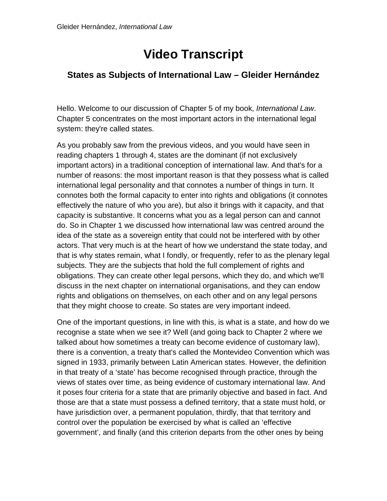## **Video Transcript**

## **States as Subjects of International Law – Gleider Hernández**

Hello. Welcome to our discussion of Chapter 5 of my book, *International Law*. Chapter 5 concentrates on the most important actors in the international legal system: they're called states.

As you probably saw from the previous videos, and you would have seen in reading chapters 1 through 4, states are the dominant (if not exclusively important actors) in a traditional conception of international law. And that's for a number of reasons: the most important reason is that they possess what is called international legal personality and that connotes a number of things in turn. It connotes both the formal capacity to enter into rights and obligations (it connotes effectively the nature of who you are), but also it brings with it capacity, and that capacity is substantive. It concerns what you as a legal person can and cannot do. So in Chapter 1 we discussed how international law was centred around the idea of the state as a sovereign entity that could not be interfered with by other actors. That very much is at the heart of how we understand the state today, and that is why states remain, what I fondly, or frequently, refer to as the plenary legal subjects. They are the subjects that hold the full complement of rights and obligations. They can create other legal persons, which they do, and which we'll discuss in the next chapter on international organisations, and they can endow rights and obligations on themselves, on each other and on any legal persons that they might choose to create. So states are very important indeed.

One of the important questions, in line with this, is what is a state, and how do we recognise a state when we see it? Well (and going back to Chapter 2 where we talked about how sometimes a treaty can become evidence of customary law), there is a convention, a treaty that's called the Montevideo Convention which was signed in 1933, primarily between Latin American states. However, the definition in that treaty of a 'state' has become recognised through practice, through the views of states over time, as being evidence of customary international law. And it poses four criteria for a state that are primarily objective and based in fact. And those are that a state must possess a defined territory, that a state must hold, or have jurisdiction over, a permanent population, thirdly, that that territory and control over the population be exercised by what is called an 'effective government', and finally (and this criterion departs from the other ones by being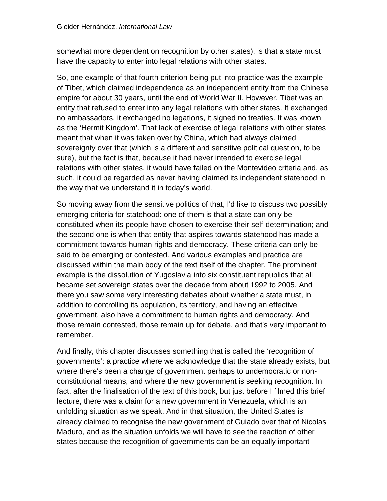somewhat more dependent on recognition by other states), is that a state must have the capacity to enter into legal relations with other states.

So, one example of that fourth criterion being put into practice was the example of Tibet, which claimed independence as an independent entity from the Chinese empire for about 30 years, until the end of World War II. However, Tibet was an entity that refused to enter into any legal relations with other states. It exchanged no ambassadors, it exchanged no legations, it signed no treaties. It was known as the 'Hermit Kingdom'. That lack of exercise of legal relations with other states meant that when it was taken over by China, which had always claimed sovereignty over that (which is a different and sensitive political question, to be sure), but the fact is that, because it had never intended to exercise legal relations with other states, it would have failed on the Montevideo criteria and, as such, it could be regarded as never having claimed its independent statehood in the way that we understand it in today's world.

So moving away from the sensitive politics of that, I'd like to discuss two possibly emerging criteria for statehood: one of them is that a state can only be constituted when its people have chosen to exercise their self-determination; and the second one is when that entity that aspires towards statehood has made a commitment towards human rights and democracy. These criteria can only be said to be emerging or contested. And various examples and practice are discussed within the main body of the text itself of the chapter. The prominent example is the dissolution of Yugoslavia into six constituent republics that all became set sovereign states over the decade from about 1992 to 2005. And there you saw some very interesting debates about whether a state must, in addition to controlling its population, its territory, and having an effective government, also have a commitment to human rights and democracy. And those remain contested, those remain up for debate, and that's very important to remember.

And finally, this chapter discusses something that is called the 'recognition of governments': a practice where we acknowledge that the state already exists, but where there's been a change of government perhaps to undemocratic or nonconstitutional means, and where the new government is seeking recognition. In fact, after the finalisation of the text of this book, but just before I filmed this brief lecture, there was a claim for a new government in Venezuela, which is an unfolding situation as we speak. And in that situation, the United States is already claimed to recognise the new government of Guiado over that of Nicolas Maduro, and as the situation unfolds we will have to see the reaction of other states because the recognition of governments can be an equally important